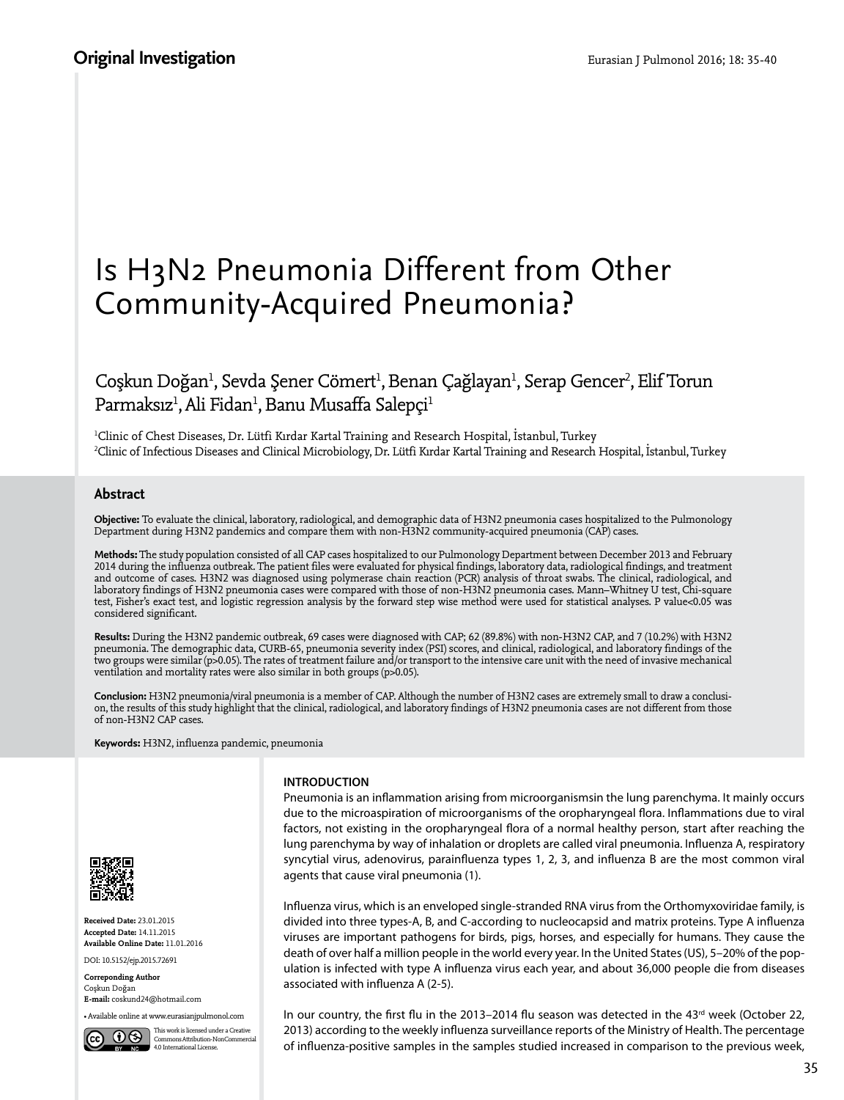# Is H3N2 Pneumonia Different from Other Community-Acquired Pneumonia?

# Coşkun Doğan<sup>ı</sup>, Sevda Şener Cömert<sup>ı</sup>, Benan Çağlayan<sup>ı</sup>, Serap Gencer<sup>2</sup>, Elif Torun Parmaksız<sup>ı</sup>, Ali Fidan<sup>ı</sup>, Banu Musaffa Salepçi<sup>ı</sup>

1 Clinic of Chest Diseases, Dr. Lütfi Kırdar Kartal Training and Research Hospital, İstanbul, Turkey 2 Clinic of Infectious Diseases and Clinical Microbiology, Dr. Lütfi Kırdar Kartal Training and Research Hospital, İstanbul, Turkey

## **Abstract**

**Objective:** To evaluate the clinical, laboratory, radiological, and demographic data of H3N2 pneumonia cases hospitalized to the Pulmonology Department during H3N2 pandemics and compare them with non-H3N2 community-acquired pneumonia (CAP) cases.

**Methods:** The study population consisted of all CAP cases hospitalized to our Pulmonology Department between December 2013 and February 2014 during the influenza outbreak. The patient files were evaluated for physical findings, laboratory data, radiological findings, and treatment and outcome of cases. H3N2 was diagnosed using polymerase chain reaction (PCR) analysis of throat swabs. The clinical, radiological, and laboratory findings of H3N2 pneumonia cases were compared with those of non-H3N2 pneumonia cases. Mann–Whitney U test, Chi-square test, Fisher's exact test, and logistic regression analysis by the forward step wise method were used for statistical analyses. P value<0.05 was considered significant.

**Results:** During the H3N2 pandemic outbreak, 69 cases were diagnosed with CAP; 62 (89.8%) with non-H3N2 CAP, and 7 (10.2%) with H3N2 pneumonia. The demographic data, CURB-65, pneumonia severity index (PSI) scores, and clinical, radiological, and laboratory findings of the two groups were similar (p>0.05). The rates of treatment failure and/or transport to the intensive care unit with the need of invasive mechanical ventilation and mortality rates were also similar in both groups (p>0.05).

**Conclusion:** H3N2 pneumonia/viral pneumonia is a member of CAP. Although the number of H3N2 cases are extremely small to draw a conclusion, the results of this study highlight that the clinical, radiological, and laboratory findings of H3N2 pneumonia cases are not different from those of non-H3N2 CAP cases.

**Keywords:** H3N2, influenza pandemic, pneumonia



**Received Date:** 23.01.2015 **Accepted Date:** 14.11.2015 **Available Online Date:** 11.01.2016 DOI: 10.5152/ejp.2015.72691

**Correponding Author** Coşkun Doğan **E-mail:** coskund24@hotmail.com

• Available online at www.eurasianjpulmonol.com

This work is licensed under a Creative Commons Attribution-NonCommercial 4.0 International License.

### **INTRODUCTION**

Pneumonia is an inflammation arising from microorganismsin the lung parenchyma. It mainly occurs due to the microaspiration of microorganisms of the oropharyngeal flora. Inflammations due to viral factors, not existing in the oropharyngeal flora of a normal healthy person, start after reaching the lung parenchyma by way of inhalation or droplets are called viral pneumonia. Influenza A, respiratory syncytial virus, adenovirus, parainfluenza types 1, 2, 3, and influenza B are the most common viral agents that cause viral pneumonia (1).

Influenza virus, which is an enveloped single-stranded RNA virus from the Orthomyxoviridae family, is divided into three types-A, B, and C-according to nucleocapsid and matrix proteins. Type A influenza viruses are important pathogens for birds, pigs, horses, and especially for humans. They cause the death of over half a million people in the world every year. In the United States (US), 5–20% of the population is infected with type A influenza virus each year, and about 36,000 people die from diseases associated with influenza A (2-5).

In our country, the first flu in the 2013-2014 flu season was detected in the 43<sup>rd</sup> week (October 22, 2013) according to the weekly influenza surveillance reports of the Ministry of Health. The percentage of influenza-positive samples in the samples studied increased in comparison to the previous week,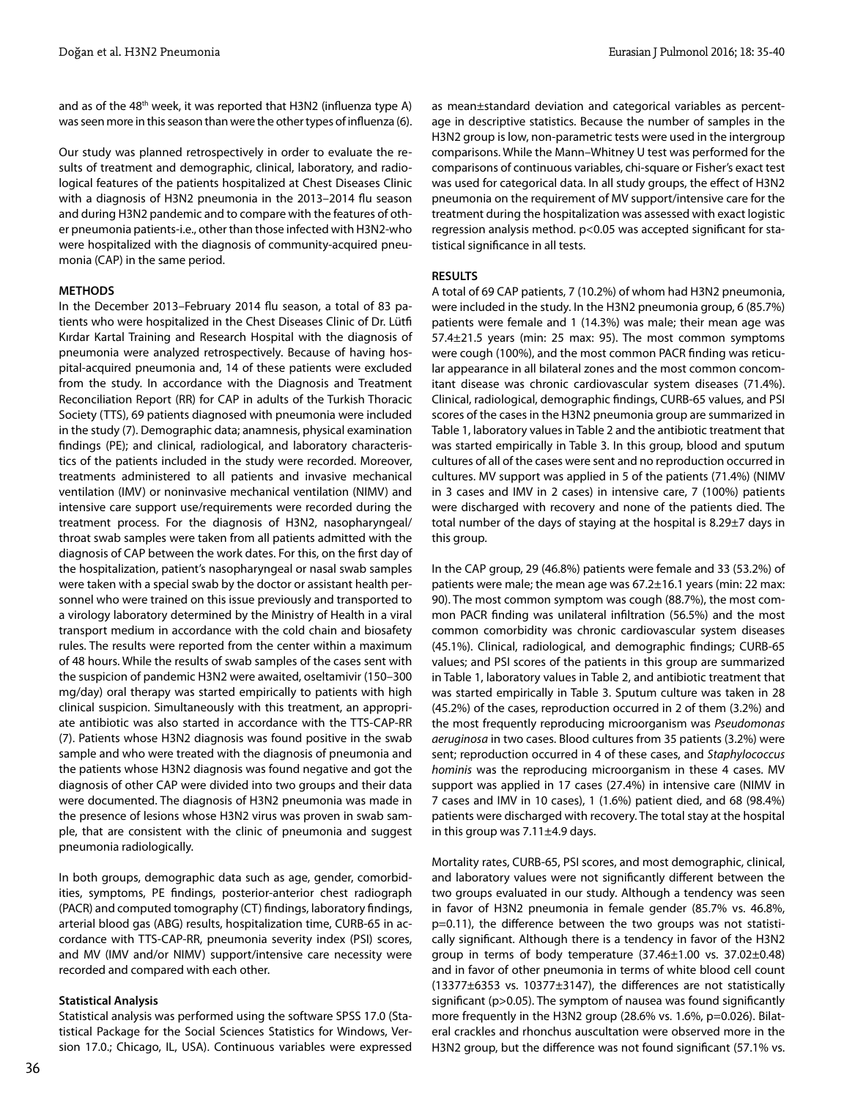and as of the 48<sup>th</sup> week, it was reported that H3N2 (influenza type A) was seen more in this season than were the other types of influenza (6).

Our study was planned retrospectively in order to evaluate the results of treatment and demographic, clinical, laboratory, and radiological features of the patients hospitalized at Chest Diseases Clinic with a diagnosis of H3N2 pneumonia in the 2013–2014 flu season and during H3N2 pandemic and to compare with the features of other pneumonia patients-i.e., other than those infected with H3N2-who were hospitalized with the diagnosis of community-acquired pneumonia (CAP) in the same period.

#### **METHODS**

In the December 2013–February 2014 flu season, a total of 83 patients who were hospitalized in the Chest Diseases Clinic of Dr. Lütfi Kırdar Kartal Training and Research Hospital with the diagnosis of pneumonia were analyzed retrospectively. Because of having hospital-acquired pneumonia and, 14 of these patients were excluded from the study. In accordance with the Diagnosis and Treatment Reconciliation Report (RR) for CAP in adults of the Turkish Thoracic Society (TTS), 69 patients diagnosed with pneumonia were included in the study (7). Demographic data; anamnesis, physical examination findings (PE); and clinical, radiological, and laboratory characteristics of the patients included in the study were recorded. Moreover, treatments administered to all patients and invasive mechanical ventilation (IMV) or noninvasive mechanical ventilation (NIMV) and intensive care support use/requirements were recorded during the treatment process. For the diagnosis of H3N2, nasopharyngeal/ throat swab samples were taken from all patients admitted with the diagnosis of CAP between the work dates. For this, on the first day of the hospitalization, patient's nasopharyngeal or nasal swab samples were taken with a special swab by the doctor or assistant health personnel who were trained on this issue previously and transported to a virology laboratory determined by the Ministry of Health in a viral transport medium in accordance with the cold chain and biosafety rules. The results were reported from the center within a maximum of 48 hours. While the results of swab samples of the cases sent with the suspicion of pandemic H3N2 were awaited, oseltamivir (150–300 mg/day) oral therapy was started empirically to patients with high clinical suspicion. Simultaneously with this treatment, an appropriate antibiotic was also started in accordance with the TTS-CAP-RR (7). Patients whose H3N2 diagnosis was found positive in the swab sample and who were treated with the diagnosis of pneumonia and the patients whose H3N2 diagnosis was found negative and got the diagnosis of other CAP were divided into two groups and their data were documented. The diagnosis of H3N2 pneumonia was made in the presence of lesions whose H3N2 virus was proven in swab sample, that are consistent with the clinic of pneumonia and suggest pneumonia radiologically.

In both groups, demographic data such as age, gender, comorbidities, symptoms, PE findings, posterior-anterior chest radiograph (PACR) and computed tomography (CT) findings, laboratory findings, arterial blood gas (ABG) results, hospitalization time, CURB-65 in accordance with TTS-CAP-RR, pneumonia severity index (PSI) scores, and MV (IMV and/or NIMV) support/intensive care necessity were recorded and compared with each other.

#### **Statistical Analysis**

Statistical analysis was performed using the software SPSS 17.0 (Statistical Package for the Social Sciences Statistics for Windows, Version 17.0.; Chicago, IL, USA). Continuous variables were expressed

as mean±standard deviation and categorical variables as percentage in descriptive statistics. Because the number of samples in the H3N2 group is low, non-parametric tests were used in the intergroup comparisons. While the Mann–Whitney U test was performed for the comparisons of continuous variables, chi-square or Fisher's exact test was used for categorical data. In all study groups, the effect of H3N2 pneumonia on the requirement of MV support/intensive care for the treatment during the hospitalization was assessed with exact logistic regression analysis method. p<0.05 was accepted significant for statistical significance in all tests.

#### **RESULTS**

A total of 69 CAP patients, 7 (10.2%) of whom had H3N2 pneumonia, were included in the study. In the H3N2 pneumonia group, 6 (85.7%) patients were female and 1 (14.3%) was male; their mean age was 57.4±21.5 years (min: 25 max: 95). The most common symptoms were cough (100%), and the most common PACR finding was reticular appearance in all bilateral zones and the most common concomitant disease was chronic cardiovascular system diseases (71.4%). Clinical, radiological, demographic findings, CURB-65 values, and PSI scores of the cases in the H3N2 pneumonia group are summarized in Table 1, laboratory values in Table 2 and the antibiotic treatment that was started empirically in Table 3. In this group, blood and sputum cultures of all of the cases were sent and no reproduction occurred in cultures. MV support was applied in 5 of the patients (71.4%) (NIMV in 3 cases and IMV in 2 cases) in intensive care, 7 (100%) patients were discharged with recovery and none of the patients died. The total number of the days of staying at the hospital is 8.29±7 days in this group.

In the CAP group, 29 (46.8%) patients were female and 33 (53.2%) of patients were male; the mean age was 67.2±16.1 years (min: 22 max: 90). The most common symptom was cough (88.7%), the most common PACR finding was unilateral infiltration (56.5%) and the most common comorbidity was chronic cardiovascular system diseases (45.1%). Clinical, radiological, and demographic findings; CURB-65 values; and PSI scores of the patients in this group are summarized in Table 1, laboratory values in Table 2, and antibiotic treatment that was started empirically in Table 3. Sputum culture was taken in 28 (45.2%) of the cases, reproduction occurred in 2 of them (3.2%) and the most frequently reproducing microorganism was *Pseudomonas aeruginosa* in two cases. Blood cultures from 35 patients (3.2%) were sent; reproduction occurred in 4 of these cases, and *Staphylococcus hominis* was the reproducing microorganism in these 4 cases. MV support was applied in 17 cases (27.4%) in intensive care (NIMV in 7 cases and IMV in 10 cases), 1 (1.6%) patient died, and 68 (98.4%) patients were discharged with recovery. The total stay at the hospital in this group was  $7.11\pm4.9$  days.

Mortality rates, CURB-65, PSI scores, and most demographic, clinical, and laboratory values were not significantly different between the two groups evaluated in our study. Although a tendency was seen in favor of H3N2 pneumonia in female gender (85.7% vs. 46.8%, p=0.11), the difference between the two groups was not statistically significant. Although there is a tendency in favor of the H3N2 group in terms of body temperature (37.46±1.00 vs. 37.02±0.48) and in favor of other pneumonia in terms of white blood cell count (13377±6353 vs. 10377±3147), the differences are not statistically significant (p>0.05). The symptom of nausea was found significantly more frequently in the H3N2 group (28.6% vs. 1.6%, p=0.026). Bilateral crackles and rhonchus auscultation were observed more in the H3N2 group, but the difference was not found significant (57.1% vs.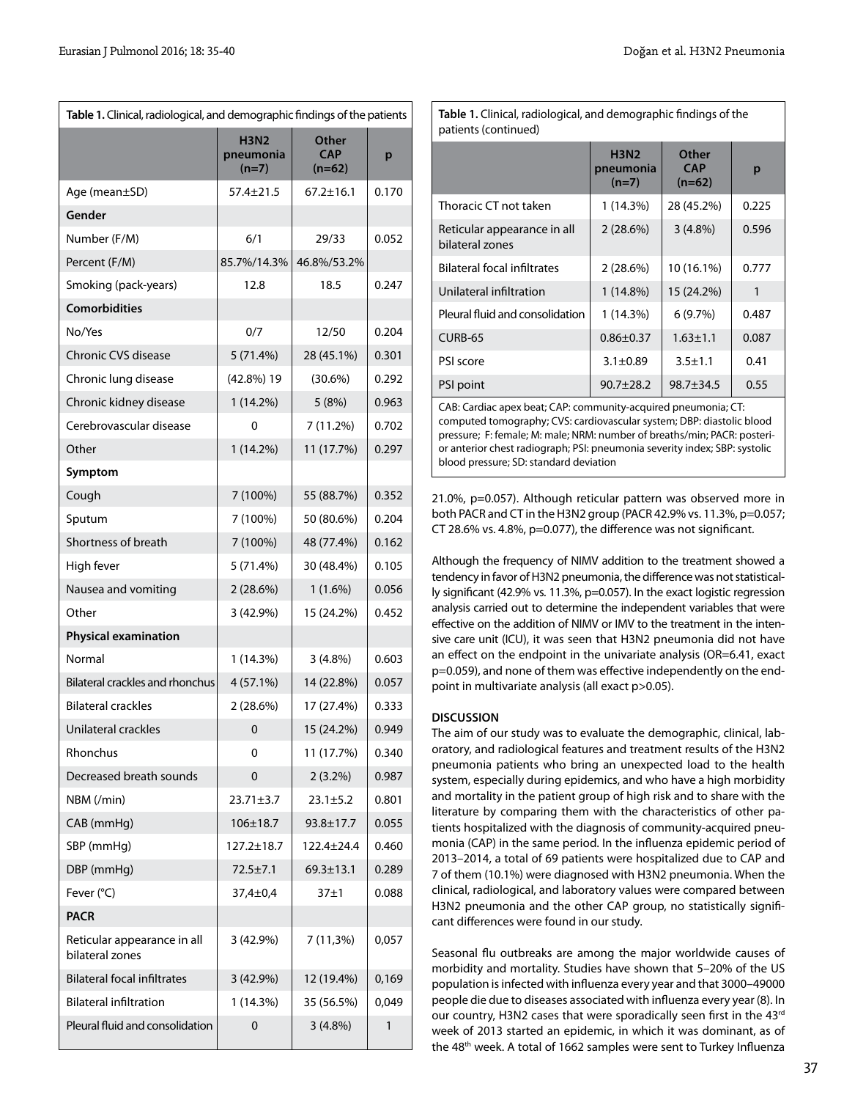| Table 1. Clinical, radiological, and demographic findings of the patients |                                     |                                 |       |  |  |
|---------------------------------------------------------------------------|-------------------------------------|---------------------------------|-------|--|--|
|                                                                           | <b>H3N2</b><br>pneumonia<br>$(n=7)$ | Other<br><b>CAP</b><br>$(n=62)$ | p     |  |  |
| Age (mean±SD)                                                             | $57.4 \pm 21.5$                     | $67.2 \pm 16.1$                 | 0.170 |  |  |
| Gender                                                                    |                                     |                                 |       |  |  |
| Number (F/M)                                                              | 6/1                                 | 29/33                           | 0.052 |  |  |
| Percent (F/M)                                                             | 85.7%/14.3%                         | 46.8%/53.2%                     |       |  |  |
| Smoking (pack-years)                                                      | 12.8                                | 18.5                            | 0.247 |  |  |
| <b>Comorbidities</b>                                                      |                                     |                                 |       |  |  |
| No/Yes                                                                    | 0/7                                 | 12/50                           | 0.204 |  |  |
| <b>Chronic CVS disease</b>                                                | 5(71.4%)                            | 28 (45.1%)                      | 0.301 |  |  |
| Chronic lung disease                                                      | $(42.8\%)$ 19                       | $(30.6\%)$                      | 0.292 |  |  |
| Chronic kidney disease                                                    | $1(14.2\%)$                         | 5(8%)                           | 0.963 |  |  |
| Cerebrovascular disease                                                   | 0                                   | 7 (11.2%)                       | 0.702 |  |  |
| Other                                                                     | $1(14.2\%)$                         | 11 (17.7%)                      | 0.297 |  |  |
| Symptom                                                                   |                                     |                                 |       |  |  |
| Cough                                                                     | 7 (100%)                            | 55 (88.7%)                      | 0.352 |  |  |
| Sputum                                                                    | 7 (100%)                            | 50 (80.6%)                      | 0.204 |  |  |
| Shortness of breath                                                       | 7 (100%)                            | 48 (77.4%)                      | 0.162 |  |  |
| High fever                                                                | 5(71.4%)                            | 30 (48.4%)                      | 0.105 |  |  |
| Nausea and vomiting                                                       | 2(28.6%)                            | $1(1.6\%)$                      | 0.056 |  |  |
| Other                                                                     | 3 (42.9%)                           | 15 (24.2%)                      | 0.452 |  |  |
| <b>Physical examination</b>                                               |                                     |                                 |       |  |  |
| Normal                                                                    | 1 (14.3%)                           | $3(4.8\%)$                      | 0.603 |  |  |
| <b>Bilateral crackles and rhonchus</b>                                    | 4 (57.1%)                           | 14 (22.8%)                      | 0.057 |  |  |
| <b>Bilateral crackles</b>                                                 | $2(28.6\%)$                         | 17 (27.4%)                      | 0.333 |  |  |
| Unilateral crackles                                                       | 0                                   | 15 (24.2%)                      | 0.949 |  |  |
| Rhonchus                                                                  | 0                                   | 11 (17.7%)                      | 0.340 |  |  |
| Decreased breath sounds                                                   | 0                                   | $2(3.2\%)$                      | 0.987 |  |  |
| NBM (/min)                                                                | $23.71 \pm 3.7$                     | $23.1 \pm 5.2$                  | 0.801 |  |  |
| CAB (mmHg)                                                                | $106 \pm 18.7$                      | $93.8 \pm 17.7$                 | 0.055 |  |  |
| SBP (mmHg)                                                                | 127.2±18.7                          | 122.4±24.4                      | 0.460 |  |  |
| DBP (mmHg)                                                                | 72.5±7.1                            | $69.3 \pm 13.1$                 | 0.289 |  |  |
| Fever (°C)                                                                | 37,4±0,4                            | $37\pm1$                        | 0.088 |  |  |
| PACR                                                                      |                                     |                                 |       |  |  |
| Reticular appearance in all<br>bilateral zones                            | 3 (42.9%)                           | $7(11,3\%)$                     | 0,057 |  |  |
| <b>Bilateral focal infiltrates</b>                                        | 3 (42.9%)                           | 12 (19.4%)                      | 0,169 |  |  |
| <b>Bilateral infiltration</b>                                             | 1 (14.3%)                           | 35 (56.5%)                      | 0,049 |  |  |
| Pleural fluid and consolidation                                           | 0                                   | 3(4.8%)                         | 1     |  |  |

 **H3N2 Other pneumonia CAP p (n=7) (n=62)** Thoracic CT not taken  $1 (14.3\%)$  28 (45.2%) 0.225 Reticular appearance in all  $\begin{array}{|c|c|c|c|c|c|c|c|c|} \hline 2 & (28.6\%) & 3 & (4.8\%) & 0.596 \hline \end{array}$ bilateral zones Bilateral focal infiltrates  $\begin{array}{|c|c|c|c|c|c|c|c|c|c|c|c|}\n\hline\n2 (28.6\%) & 10 (16.1\%) & 0.777\n\end{array}$ Unilateral infiltration  $1 (14.8%)$  | 15 (24.2%) | 1 Pleural fluid and consolidation  $\begin{vmatrix} 1 & (14.3\%) & 6 & (9.7\%) \\ 1 & 6 & (9.7\%) & 0.487 \end{vmatrix}$  $CURB-65$  0.86±0.37 1.63±1.1 0.087 PSI score 3.1±0.89 3.5±1.1 0.41 PSI point 90.7±28.2 98.7±34.5 0.55 CAB: Cardiac apex beat; CAP: community-acquired pneumonia; CT: patients (continued)

**Table 1.** Clinical, radiological, and demographic findings of the

computed tomography; CVS: cardiovascular system; DBP: diastolic blood pressure; F: female; M: male; NRM: number of breaths/min; PACR: posterior anterior chest radiograph; PSI: pneumonia severity index; SBP: systolic blood pressure; SD: standard deviation

21.0%, p=0.057). Although reticular pattern was observed more in both PACR and CT in the H3N2 group (PACR 42.9% vs. 11.3%, p=0.057; CT 28.6% vs. 4.8%, p=0.077), the difference was not significant.

Although the frequency of NIMV addition to the treatment showed a tendency in favor of H3N2 pneumonia, the difference was not statistically significant (42.9% vs. 11.3%, p=0.057). In the exact logistic regression analysis carried out to determine the independent variables that were effective on the addition of NIMV or IMV to the treatment in the intensive care unit (ICU), it was seen that H3N2 pneumonia did not have an effect on the endpoint in the univariate analysis (OR=6.41, exact p=0.059), and none of them was effective independently on the endpoint in multivariate analysis (all exact p>0.05).

# **DISCUSSION**

The aim of our study was to evaluate the demographic, clinical, laboratory, and radiological features and treatment results of the H3N2 pneumonia patients who bring an unexpected load to the health system, especially during epidemics, and who have a high morbidity and mortality in the patient group of high risk and to share with the literature by comparing them with the characteristics of other patients hospitalized with the diagnosis of community-acquired pneumonia (CAP) in the same period. In the influenza epidemic period of 2013–2014, a total of 69 patients were hospitalized due to CAP and 7 of them (10.1%) were diagnosed with H3N2 pneumonia. When the clinical, radiological, and laboratory values were compared between H3N2 pneumonia and the other CAP group, no statistically significant differences were found in our study.

Seasonal flu outbreaks are among the major worldwide causes of morbidity and mortality. Studies have shown that 5–20% of the US population is infected with influenza every year and that 3000–49000 people die due to diseases associated with influenza every year (8). In our country, H3N2 cases that were sporadically seen first in the 43rd week of 2013 started an epidemic, in which it was dominant, as of the 48<sup>th</sup> week. A total of 1662 samples were sent to Turkey Influenza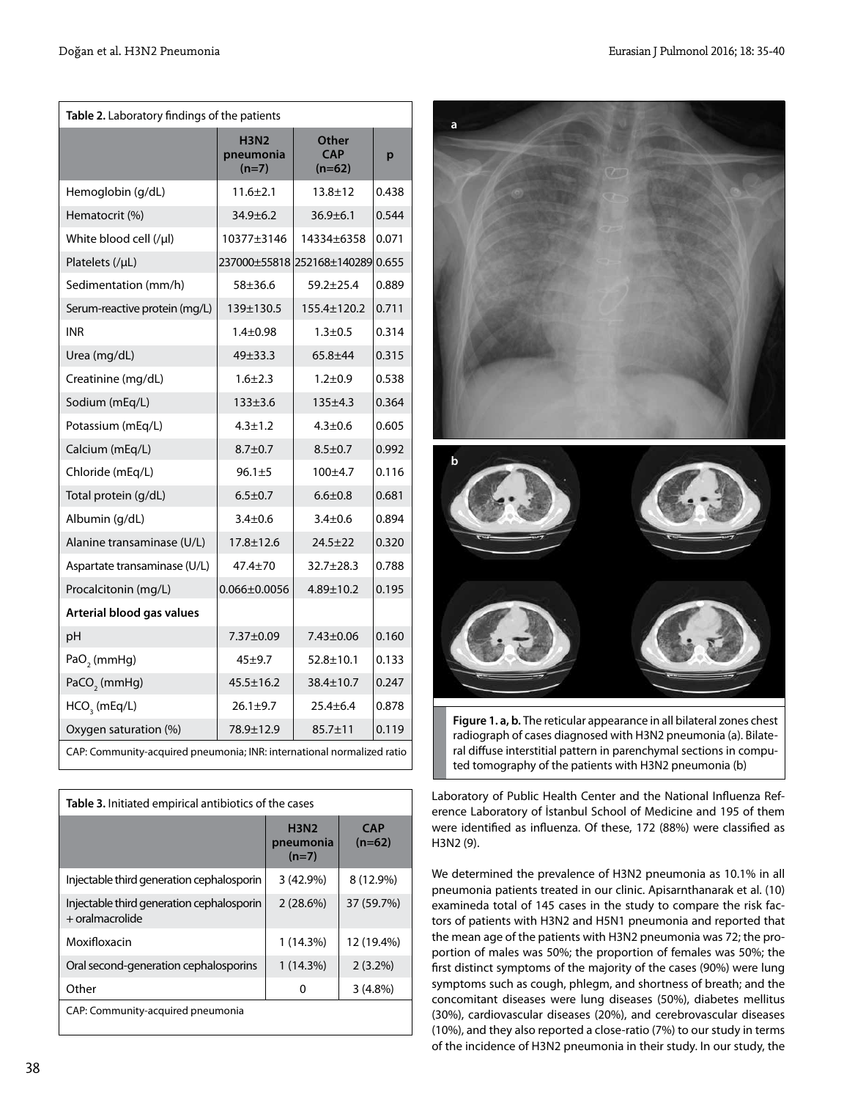| Table 2. Laboratory findings of the patients                           |                                     |                                 |       |  |  |
|------------------------------------------------------------------------|-------------------------------------|---------------------------------|-------|--|--|
|                                                                        | <b>H3N2</b><br>pneumonia<br>$(n=7)$ | Other<br><b>CAP</b><br>$(n=62)$ | p     |  |  |
| Hemoglobin (g/dL)                                                      | $11.6 \pm 2.1$                      | $13.8 + 12$                     | 0.438 |  |  |
| Hematocrit (%)                                                         | $34.9 \pm 6.2$                      | $36.9 \pm 6.1$                  | 0.544 |  |  |
| White blood cell (/µl)                                                 | 10377±3146                          | 14334±6358                      | 0.071 |  |  |
| Platelets (/µL)                                                        | 237000±55818 252168±140289<br>0.655 |                                 |       |  |  |
| Sedimentation (mm/h)                                                   | 58±36.6                             | $59.2 + 25.4$                   | 0.889 |  |  |
| Serum-reactive protein (mg/L)                                          | 139±130.5                           | 155.4±120.2                     | 0.711 |  |  |
| <b>INR</b>                                                             | $1.4 + 0.98$                        | $1.3 + 0.5$                     | 0.314 |  |  |
| Urea (mg/dL)                                                           | 49±33.3                             | 65.8±44                         | 0.315 |  |  |
| Creatinine (mg/dL)                                                     | $1.6 + 2.3$                         | $1.2 + 0.9$                     | 0.538 |  |  |
| Sodium (mEq/L)                                                         | $133 + 3.6$                         | $135 + 4.3$                     | 0.364 |  |  |
| Potassium (mEq/L)                                                      | $4.3 \pm 1.2$                       | $4.3 + 0.6$                     | 0.605 |  |  |
| Calcium (mEq/L)                                                        | $8.7 + 0.7$                         | $8.5 + 0.7$                     | 0.992 |  |  |
| Chloride (mEq/L)                                                       | $96.1 + 5$                          | $100 + 4.7$                     | 0.116 |  |  |
| Total protein (g/dL)                                                   | $6.5 \pm 0.7$                       | $6.6 \pm 0.8$                   | 0.681 |  |  |
| Albumin (g/dL)                                                         | $3.4 \pm 0.6$                       | $3.4 + 0.6$                     | 0.894 |  |  |
| Alanine transaminase (U/L)                                             | $17.8 \pm 12.6$                     | $24.5 + 22$                     | 0.320 |  |  |
| Aspartate transaminase (U/L)                                           | 47.4±70                             | $32.7 \pm 28.3$                 | 0.788 |  |  |
| Procalcitonin (mg/L)                                                   | $0.066 \pm 0.0056$                  | $4.89 \pm 10.2$                 | 0.195 |  |  |
| Arterial blood gas values                                              |                                     |                                 |       |  |  |
| pH                                                                     | 7.37±0.09                           | 7.43±0.06                       | 0.160 |  |  |
| PaO <sub>2</sub> (mmHg)                                                | $45 + 9.7$                          | $52.8 \pm 10.1$                 | 0.133 |  |  |
| PaCO <sub>2</sub> (mmHg)                                               | 45.5±16.2                           | 38.4±10.7                       | 0.247 |  |  |
| $HCO3$ (mEq/L)                                                         | $26.1 \pm 9.7$                      | $25.4 \pm 6.4$                  | 0.878 |  |  |
| Oxygen saturation (%)                                                  | 78.9±12.9                           | $85.7 \pm 11$                   | 0.119 |  |  |
| CAP: Community-acquired pneumonia: INR: international normalized ratio |                                     |                                 |       |  |  |

| Table 3. Initiated empirical antibiotics of the cases          |                                     |                        |  |  |  |
|----------------------------------------------------------------|-------------------------------------|------------------------|--|--|--|
|                                                                | <b>H3N2</b><br>pneumonia<br>$(n=7)$ | <b>CAP</b><br>$(n=62)$ |  |  |  |
| Injectable third generation cephalosporin                      | $3(42.9\%)$                         | 8 (12.9%)              |  |  |  |
| Injectable third generation cephalosporin<br>$+$ oralmacrolide | 2(28.6%)                            | 37 (59.7%)             |  |  |  |
| Moxifloxacin                                                   | 1(14.3%)                            | 12 (19.4%)             |  |  |  |
| Oral second-generation cephalosporins                          | 1(14.3%)                            | $2(3.2\%)$             |  |  |  |
| Other                                                          | o                                   | $3(4.8\%)$             |  |  |  |
| CAP: Community-acquired pneumonia                              |                                     |                        |  |  |  |



**Figure 1. a, b.** The reticular appearance in all bilateral zones chest radiograph of cases diagnosed with H3N2 pneumonia (a). Bilateral diffuse interstitial pattern in parenchymal sections in computed tomography of the patients with H3N2 pneumonia (b)

Laboratory of Public Health Center and the National Influenza Reference Laboratory of İstanbul School of Medicine and 195 of them were identified as influenza. Of these, 172 (88%) were classified as H3N2 (9).

We determined the prevalence of H3N2 pneumonia as 10.1% in all pneumonia patients treated in our clinic. Apisarnthanarak et al. (10) examineda total of 145 cases in the study to compare the risk factors of patients with H3N2 and H5N1 pneumonia and reported that the mean age of the patients with H3N2 pneumonia was 72; the proportion of males was 50%; the proportion of females was 50%; the first distinct symptoms of the majority of the cases (90%) were lung symptoms such as cough, phlegm, and shortness of breath; and the concomitant diseases were lung diseases (50%), diabetes mellitus (30%), cardiovascular diseases (20%), and cerebrovascular diseases (10%), and they also reported a close-ratio (7%) to our study in terms of the incidence of H3N2 pneumonia in their study. In our study, the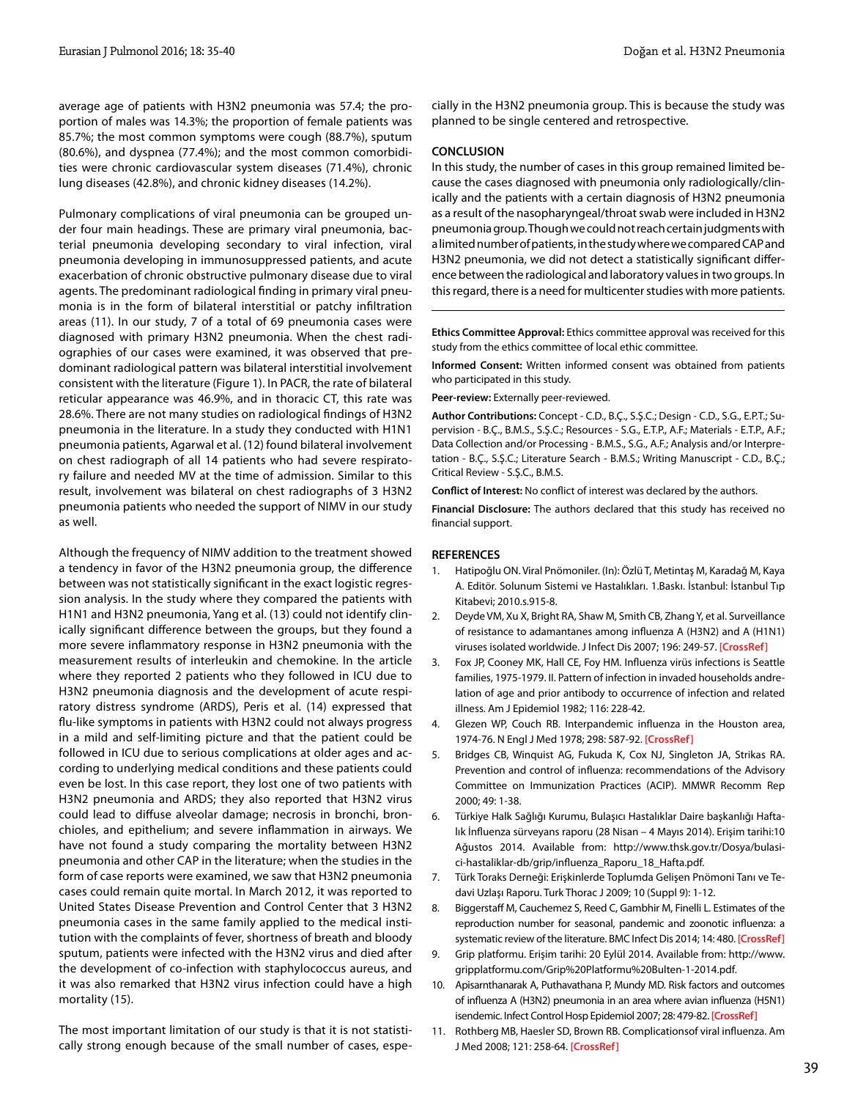average age of patients with H3N2 pneumonia was 57.4; the proportion of males was 14.3%; the proportion of female patients was 85.7%; the most common symptoms were cough (88.7%), sputum (80.6%), and dyspnea (77.4%); and the most common comorbidities were chronic cardiovascular system diseases (71.4%), chronic lung diseases (42.8%), and chronic kidney diseases (14.2%).

Pulmonary complications of viral pneumonia can be grouped under four main headings. These are primary viral pneumonia, bacterial pneumonia developing secondary to viral infection, viral pneumonia developing in immunosuppressed patients, and acute exacerbation of chronic obstructive pulmonary disease due to viral agents. The predominant radiological finding in primary viral pneumonia is in the form of bilateral interstitial or patchy infiltration areas (11). In our study, 7 of a total of 69 pneumonia cases were diagnosed with primary H3N2 pneumonia. When the chest radiographies of our cases were examined, it was observed that predominant radiological pattern was bilateral interstitial involvement consistent with the literature (Figure 1). In PACR, the rate of bilateral reticular appearance was 46.9%, and in thoracic CT, this rate was 28.6%. There are not many studies on radiological findings of H3N2 pneumonia in the literature. In a study they conducted with H1N1 pneumonia patients, Agarwal et al. (12) found bilateral involvement on chest radiograph of all 14 patients who had severe respiratory failure and needed MV at the time of admission. Similar to this result, involvement was bilateral on chest radiographs of 3 H3N2 pneumonia patients who needed the support of NIMV in our study as well.

Although the frequency of NIMV addition to the treatment showed a tendency in favor of the H3N2 pneumonia group, the difference between was not statistically significant in the exact logistic regression analysis. In the study where they compared the patients with H1N1 and H3N2 pneumonia, Yang et al. (13) could not identify clinically significant difference between the groups, but they found a more severe inflammatory response in H3N2 pneumonia with the measurement results of interleukin and chemokine. In the article where they reported 2 patients who they followed in ICU due to H3N2 pneumonia diagnosis and the development of acute respiratory distress syndrome (ARDS), Peris et al. (14) expressed that flu-like symptoms in patients with H3N2 could not always progress in a mild and self-limiting picture and that the patient could be followed in ICU due to serious complications at older ages and according to underlying medical conditions and these patients could even be lost. In this case report, they lost one of two patients with H3N2 pneumonia and ARDS; they also reported that H3N2 virus could lead to diffuse alveolar damage; necrosis in bronchi, bronchioles, and epithelium; and severe inflammation in airways. We have not found a study comparing the mortality between H3N2 pneumonia and other CAP in the literature; when the studies in the form of case reports were examined, we saw that H3N2 pneumonia cases could remain quite mortal. In March 2012, it was reported to United States Disease Prevention and Control Center that 3 H3N2 pneumonia cases in the same family applied to the medical institution with the complaints of fever, shortness of breath and bloody sputum, patients were infected with the H3N2 virus and died after the development of co-infection with staphylococcus aureus, and it was also remarked that H3N2 virus infection could have a high mortality (15).

The most important limitation of our study is that it is not statistically strong enough because of the small number of cases, espe-

cially in the H3N2 pneumonia group. This is because the study was planned to be single centered and retrospective.

#### **CONCLUSION**

In this study, the number of cases in this group remained limited because the cases diagnosed with pneumonia only radiologically/clinically and the patients with a certain diagnosis of H3N2 pneumonia as a result of the nasopharyngeal/throat swab were included in H3N2 pneumonia group. Though we could not reach certain judgments with a limited number of patients, in the study where we compared CAP and H3N2 pneumonia, we did not detect a statistically significant difference between the radiological and laboratory values in two groups. In this regard, there is a need for multicenter studies with more patients.

**Ethics Committee Approval:** Ethics committee approval was received for this study from the ethics committee of local ethic committee.

**Informed Consent:** Written informed consent was obtained from patients who participated in this study.

**Peer-review:** Externally peer-reviewed.

**Author Contributions:** Concept - C.D., B.Ç., S.Ş.C.; Design - C.D., S.G., E.P.T.; Supervision - B.Ç., B.M.S., S.Ş.C.; Resources - S.G., E.T.P., A.F.; Materials - E.T.P., A.F.; Data Collection and/or Processing - B.M.S., S.G., A.F.; Analysis and/or Interpretation - B.Ç., S.Ş.C.; Literature Search - B.M.S.; Writing Manuscript - C.D., B.Ç.; Critical Review - S.Ş.C., B.M.S.

**Conflict of Interest:** No conflict of interest was declared by the authors.

**Financial Disclosure:** The authors declared that this study has received no financial support.

#### **REFERENCES**

- 1. Hatipoğlu ON. Viral Pnömoniler. (In): Özlü T, Metintaş M, Karadağ M, Kaya A. Editör. Solunum Sistemi ve Hastalıkları. 1.Baskı. İstanbul: İstanbul Tıp Kitabevi; 2010.s.915-8.
- 2. Deyde VM, Xu X, Bright RA, Shaw M, Smith CB, Zhang Y, et al. Surveillance of resistance to adamantanes among influenza A (H3N2) and A (H1N1) viruses isolated worldwide. J Infect Dis 2007; 196: 249-57. **[\[CrossRef\]](http://dx.doi.org/10.1086/518936)**
- 3. Fox JP, Cooney MK, Hall CE, Foy HM. Influenza virüs infections is Seattle families, 1975-1979. II. Pattern of infection in invaded households andrelation of age and prior antibody to occurrence of infection and related illness. Am J Epidemiol 1982; 116: 228-42.
- 4. Glezen WP, Couch RB. Interpandemic influenza in the Houston area, 1974-76. N Engl J Med 1978; 298: 587-92. **[\[CrossRef\]](http://dx.doi.org/10.1056/NEJM197803162981103)**
- 5. Bridges CB, Winquist AG, Fukuda K, Cox NJ, Singleton JA, Strikas RA. Prevention and control of influenza: recommendations of the Advisory Committee on Immunization Practices (ACIP). MMWR Recomm Rep 2000; 49: 1-38.
- 6. Türkiye Halk Sağlığı Kurumu, Bulaşıcı Hastalıklar Daire başkanlığı Haftalık İnfluenza sürveyans raporu (28 Nisan – 4 Mayıs 2014). Erişim tarihi:10 Ağustos 2014. Available from: http://www.thsk.gov.tr/Dosya/bulasici-hastaliklar-db/grip/influenza\_Raporu\_18\_Hafta.pdf.
- 7. Türk Toraks Derneği: Erişkinlerde Toplumda Gelişen Pnömoni Tanı ve Tedavi Uzlaşı Raporu. Turk Thorac J 2009; 10 (Suppl 9): 1-12.
- 8. Biggerstaff M, Cauchemez S, Reed C, Gambhir M, Finelli L. Estimates of the reproduction number for seasonal, pandemic and zoonotic influenza: a systematic review of the literature. BMC Infect Dis 2014; 14: 480. **[\[CrossRef\]](http://dx.doi.org/10.1186/1471-2334-14-480)**
- 9. Grip platformu. Erişim tarihi: 20 Eylül 2014. Available from: http://www. gripplatformu.com/Grip%20Platformu%20Bulten-1-2014.pdf.
- 10. Apisarnthanarak A, Puthavathana P, Mundy MD. Risk factors and outcomes of influenza A (H3N2) pneumonia in an area where avian influenza (H5N1) isendemic. Infect Control Hosp Epidemiol 2007; 28: 479-82. **[\[CrossRef\]](http://dx.doi.org/10.1086/513724)**
- 11. Rothberg MB, Haesler SD, Brown RB. Complicationsof viral influenza. Am J Med 2008; 121: 258-64. **[\[CrossRef\]](http://dx.doi.org/10.1016/j.amjmed.2007.10.040)**